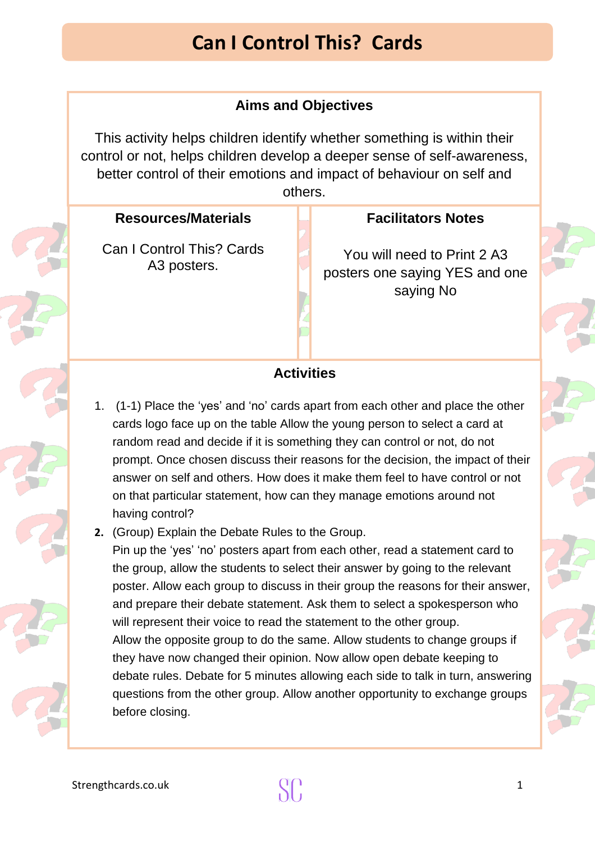# **Can I Control This? Cards**

### **Aims and Objectives**

This activity helps children identify whether something is within their control or not, helps children develop a deeper sense of self-awareness, better control of their emotions and impact of behaviour on self and others.

#### **Resources/Materials**

[C](https://publicdomainvectors.org/en/free-clipart/Vector-graphics-of-red-and-green-question-and-exclamation-marks/33155.html)an I Control This? Cards A3 posters.

#### **Facilitators Notes**

You will need to Print 2 A3 [posters](https://publicdomainvectors.org/en/free-clipart/Vector-graphics-of-red-and-green-question-and-exclamation-marks/33155.html) one saying YES and [one](https://publicdomainvectors.org/en/free-clipart/Vector-graphics-of-red-and-green-question-and-exclamation-marks/33155.html) saying No

### **Activities**

- [1.](https://publicdomainvectors.org/en/free-clipart/Vector-graphics-of-red-and-green-question-and-exclamation-marks/33155.html) (1-1) Place the 'yes' and 'no' cards apart from each other and place the [other](https://publicdomainvectors.org/en/free-clipart/Vector-graphics-of-red-and-green-question-and-exclamation-marks/33155.html) cards logo face up on the table Allow the young person to select a card at random read and decide if it is something they can control or not, do not prompt. Once chosen discuss their reasons for the decision, the impact of their answer on self and others. How does it make them feel to have control or not on that particular statement, how can they manage emotions around not having control?
- **[2.](https://publicdomainvectors.org/en/free-clipart/Vector-graphics-of-red-and-green-question-and-exclamation-marks/33155.html)** (Group) Explain the Debate Rules to the Group.

ney nave now changed their opinion. Now allow open debate keeping to<br>debate rules. Debate for 5 minutes allowing each side to talk in turn, answ[ering](https://publicdomainvectors.org/en/free-clipart/Vector-graphics-of-red-and-green-question-and-exclamation-marks/33155.html) Pin up the 'yes' 'no' posters apart from each other, read a statement card to the group, allow the students to select their answer by going to the relevant poster. Allow each group to discuss in their group the reasons for their an[swer,](https://publicdomainvectors.org/en/free-clipart/Vector-graphics-of-red-and-green-question-and-exclamation-marks/33155.html) and prepare their debate statement. Ask them to select a spokesperson who will represent their voice to read the statement to the other group. Allow the opposite group to do the same. Allow students to change groups if they have now changed their opinion. Now allow open debate keeping to questions from the other group. Allow another opportunity to exchange groups before closing.